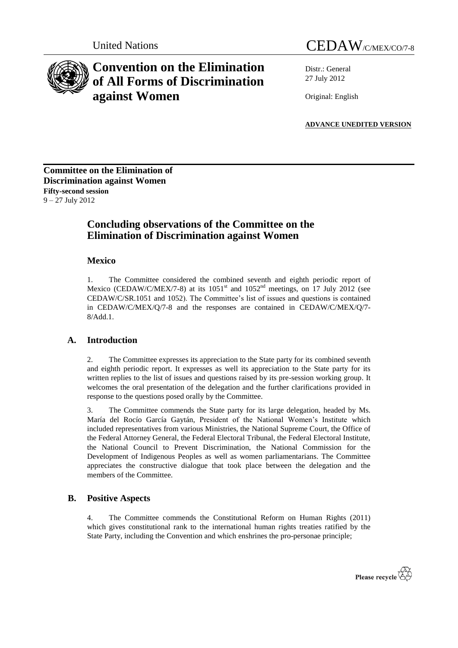

Distr.: General 27 July 2012

Original: English

**ADVANCE UNEDITED VERSION**

**Committee on the Elimination of Discrimination against Women Fifty-second session** 9 – 27 July 2012

# **Concluding observations of the Committee on the Elimination of Discrimination against Women**

# **Mexico**

1. The Committee considered the combined seventh and eighth periodic report of Mexico (CEDAW/C/MEX/7-8) at its  $1051<sup>st</sup>$  and  $1052<sup>nd</sup>$  meetings, on 17 July 2012 (see CEDAW/C/SR.1051 and 1052). The Committee's list of issues and questions is contained in CEDAW/C/MEX/Q/7-8 and the responses are contained in CEDAW/C/MEX/Q/7- 8/Add.1.

# **A. Introduction**

2. The Committee expresses its appreciation to the State party for its combined seventh and eighth periodic report. It expresses as well its appreciation to the State party for its written replies to the list of issues and questions raised by its pre-session working group. It welcomes the oral presentation of the delegation and the further clarifications provided in response to the questions posed orally by the Committee.

3. The Committee commends the State party for its large delegation, headed by Ms. María del Rocío García Gaytán, President of the National Women's Institute which included representatives from various Ministries, the National Supreme Court, the Office of the Federal Attorney General, the Federal Electoral Tribunal, the Federal Electoral Institute, the National Council to Prevent Discrimination, the National Commission for the Development of Indigenous Peoples as well as women parliamentarians. The Committee appreciates the constructive dialogue that took place between the delegation and the members of the Committee.

# **B. Positive Aspects**

4. The Committee commends the Constitutional Reform on Human Rights (2011) which gives constitutional rank to the international human rights treaties ratified by the State Party, including the Convention and which enshrines the pro-personae principle;

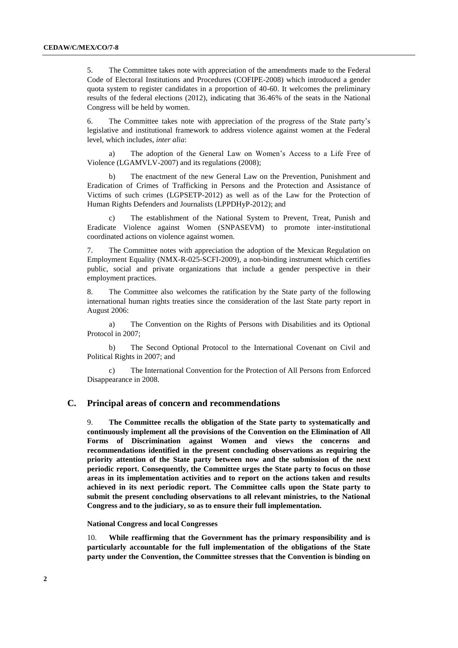5. The Committee takes note with appreciation of the amendments made to the Federal Code of Electoral Institutions and Procedures (COFIPE-2008) which introduced a gender quota system to register candidates in a proportion of 40-60. It welcomes the preliminary results of the federal elections (2012), indicating that 36.46% of the seats in the National Congress will be held by women.

6. The Committee takes note with appreciation of the progress of the State party's legislative and institutional framework to address violence against women at the Federal level, which includes, *inter alia*:

The adoption of the General Law on Women's Access to a Life Free of Violence (LGAMVLV-2007) and its regulations (2008);

b) The enactment of the new General Law on the Prevention, Punishment and Eradication of Crimes of Trafficking in Persons and the Protection and Assistance of Victims of such crimes (LGPSETP-2012) as well as of the Law for the Protection of Human Rights Defenders and Journalists (LPPDHyP-2012); and

c) The establishment of the National System to Prevent, Treat, Punish and Eradicate Violence against Women (SNPASEVM) to promote inter-institutional coordinated actions on violence against women.

7. The Committee notes with appreciation the adoption of the Mexican Regulation on Employment Equality (NMX-R-025-SCFI-2009), a non-binding instrument which certifies public, social and private organizations that include a gender perspective in their employment practices.

8. The Committee also welcomes the ratification by the State party of the following international human rights treaties since the consideration of the last State party report in August 2006:

a) The Convention on the Rights of Persons with Disabilities and its Optional Protocol in 2007;

b) The Second Optional Protocol to the International Covenant on Civil and Political Rights in 2007; and

c) The International Convention for the Protection of All Persons from Enforced Disappearance in 2008.

# **C. Principal areas of concern and recommendations**

9. **The Committee recalls the obligation of the State party to systematically and continuously implement all the provisions of the Convention on the Elimination of All Forms of Discrimination against Women and views the concerns and recommendations identified in the present concluding observations as requiring the priority attention of the State party between now and the submission of the next periodic report. Consequently, the Committee urges the State party to focus on those areas in its implementation activities and to report on the actions taken and results achieved in its next periodic report. The Committee calls upon the State party to submit the present concluding observations to all relevant ministries, to the National Congress and to the judiciary, so as to ensure their full implementation.**

## **National Congress and local Congresses**

10. **While reaffirming that the Government has the primary responsibility and is particularly accountable for the full implementation of the obligations of the State party under the Convention, the Committee stresses that the Convention is binding on**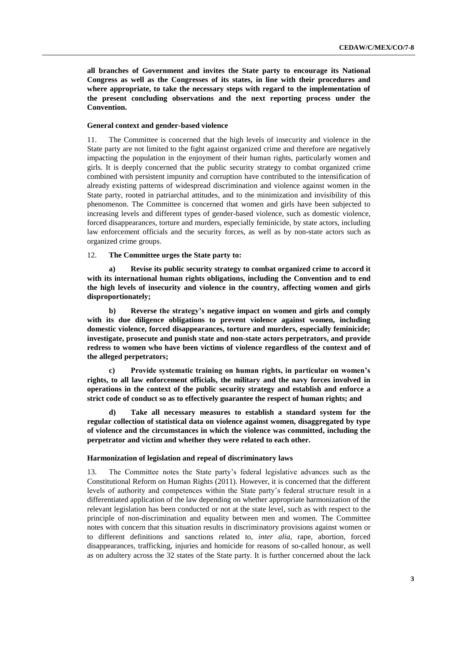**all branches of Government and invites the State party to encourage its National Congress as well as the Congresses of its states, in line with their procedures and where appropriate, to take the necessary steps with regard to the implementation of the present concluding observations and the next reporting process under the Convention.**

#### **General context and gender-based violence**

11. The Committee is concerned that the high levels of insecurity and violence in the State party are not limited to the fight against organized crime and therefore are negatively impacting the population in the enjoyment of their human rights, particularly women and girls. It is deeply concerned that the public security strategy to combat organized crime combined with persistent impunity and corruption have contributed to the intensification of already existing patterns of widespread discrimination and violence against women in the State party, rooted in patriarchal attitudes, and to the minimization and invisibility of this phenomenon. The Committee is concerned that women and girls have been subjected to increasing levels and different types of gender-based violence, such as domestic violence, forced disappearances, torture and murders, especially feminicide, by state actors, including law enforcement officials and the security forces, as well as by non-state actors such as organized crime groups.

### 12. **The Committee urges the State party to:**

**a) Revise its public security strategy to combat organized crime to accord it with its international human rights obligations, including the Convention and to end the high levels of insecurity and violence in the country, affecting women and girls disproportionately;**

**b) Reverse the strategy's negative impact on women and girls and comply with its due diligence obligations to prevent violence against women, including domestic violence, forced disappearances, torture and murders, especially feminicide; investigate, prosecute and punish state and non-state actors perpetrators, and provide redress to women who have been victims of violence regardless of the context and of the alleged perpetrators;** 

**c) Provide systematic training on human rights, in particular on women's rights, to all law enforcement officials, the military and the navy forces involved in operations in the context of the public security strategy and establish and enforce a strict code of conduct so as to effectively guarantee the respect of human rights; and**

**d) Take all necessary measures to establish a standard system for the regular collection of statistical data on violence against women, disaggregated by type of violence and the circumstances in which the violence was committed, including the perpetrator and victim and whether they were related to each other.**

# **Harmonization of legislation and repeal of discriminatory laws**

13. The Committee notes the State party's federal legislative advances such as the Constitutional Reform on Human Rights (2011). However, it is concerned that the different levels of authority and competences within the State party's federal structure result in a differentiated application of the law depending on whether appropriate harmonization of the relevant legislation has been conducted or not at the state level, such as with respect to the principle of non-discrimination and equality between men and women. The Committee notes with concern that this situation results in discriminatory provisions against women or to different definitions and sanctions related to, *inter alia*, rape, abortion, forced disappearances, trafficking, injuries and homicide for reasons of so-called honour, as well as on adultery across the 32 states of the State party. It is further concerned about the lack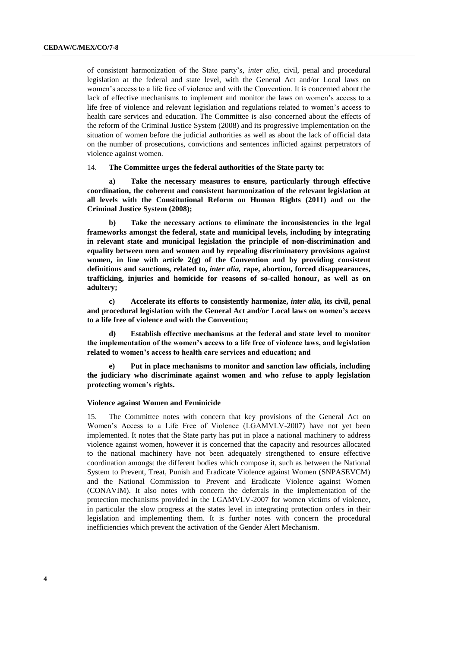of consistent harmonization of the State party's, *inter alia*, civil, penal and procedural legislation at the federal and state level, with the General Act and/or Local laws on women's access to a life free of violence and with the Convention. It is concerned about the lack of effective mechanisms to implement and monitor the laws on women's access to a life free of violence and relevant legislation and regulations related to women's access to health care services and education. The Committee is also concerned about the effects of the reform of the Criminal Justice System (2008) and its progressive implementation on the situation of women before the judicial authorities as well as about the lack of official data on the number of prosecutions, convictions and sentences inflicted against perpetrators of violence against women.

14. **The Committee urges the federal authorities of the State party to:**

**a) Take the necessary measures to ensure, particularly through effective coordination, the coherent and consistent harmonization of the relevant legislation at all levels with the Constitutional Reform on Human Rights (2011) and on the Criminal Justice System (2008);** 

**b) Take the necessary actions to eliminate the inconsistencies in the legal frameworks amongst the federal, state and municipal levels, including by integrating in relevant state and municipal legislation the principle of non-discrimination and equality between men and women and by repealing discriminatory provisions against women, in line with article 2(g) of the Convention and by providing consistent definitions and sanctions, related to,** *inter alia,* **rape, abortion, forced disappearances, trafficking, injuries and homicide for reasons of so-called honour, as well as on adultery;** 

**c) Accelerate its efforts to consistently harmonize,** *inter alia,* **its civil, penal and procedural legislation with the General Act and/or Local laws on women's access to a life free of violence and with the Convention;** 

**d) Establish effective mechanisms at the federal and state level to monitor the implementation of the women's access to a life free of violence laws, and legislation related to women's access to health care services and education; and** 

**e) Put in place mechanisms to monitor and sanction law officials, including the judiciary who discriminate against women and who refuse to apply legislation protecting women's rights.** 

#### **Violence against Women and Feminicide**

15. The Committee notes with concern that key provisions of the General Act on Women's Access to a Life Free of Violence (LGAMVLV-2007) have not yet been implemented. It notes that the State party has put in place a national machinery to address violence against women, however it is concerned that the capacity and resources allocated to the national machinery have not been adequately strengthened to ensure effective coordination amongst the different bodies which compose it, such as between the National System to Prevent, Treat, Punish and Eradicate Violence against Women (SNPASEVCM) and the National Commission to Prevent and Eradicate Violence against Women (CONAVIM). It also notes with concern the deferrals in the implementation of the protection mechanisms provided in the LGAMVLV-2007 for women victims of violence, in particular the slow progress at the states level in integrating protection orders in their legislation and implementing them. It is further notes with concern the procedural inefficiencies which prevent the activation of the Gender Alert Mechanism.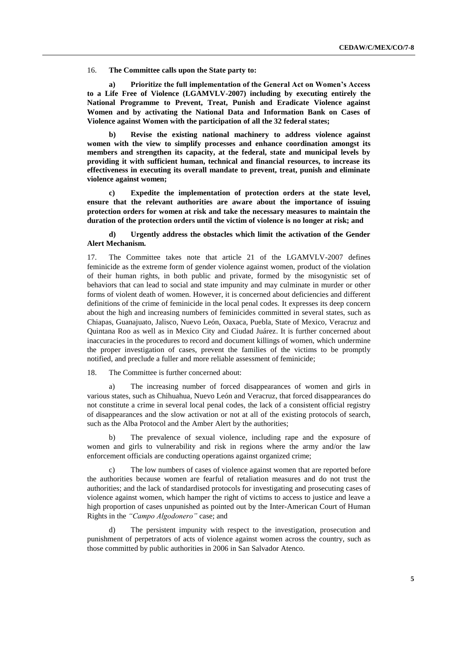16. **The Committee calls upon the State party to:**

**a) Prioritize the full implementation of the General Act on Women's Access to a Life Free of Violence (LGAMVLV-2007) including by executing entirely the National Programme to Prevent, Treat, Punish and Eradicate Violence against Women and by activating the National Data and Information Bank on Cases of Violence against Women with the participation of all the 32 federal states;**

**b) Revise the existing national machinery to address violence against women with the view to simplify processes and enhance coordination amongst its members and strengthen its capacity, at the federal, state and municipal levels by providing it with sufficient human, technical and financial resources, to increase its effectiveness in executing its overall mandate to prevent, treat, punish and eliminate violence against women;** 

**c) Expedite the implementation of protection orders at the state level, ensure that the relevant authorities are aware about the importance of issuing protection orders for women at risk and take the necessary measures to maintain the duration of the protection orders until the victim of violence is no longer at risk; and** 

# **d) Urgently address the obstacles which limit the activation of the Gender Alert Mechanism.**

17. The Committee takes note that article 21 of the LGAMVLV-2007 defines feminicide as the extreme form of gender violence against women, product of the violation of their human rights, in both public and private, formed by the misogynistic set of behaviors that can lead to social and state impunity and may culminate in murder or other forms of violent death of women. However, it is concerned about deficiencies and different definitions of the crime of feminicide in the local penal codes. It expresses its deep concern about the high and increasing numbers of feminicides committed in several states, such as Chiapas, Guanajuato, Jalisco, Nuevo León, Oaxaca, Puebla, State of Mexico, Veracruz and Quintana Roo as well as in Mexico City and Ciudad Juárez. It is further concerned about inaccuracies in the procedures to record and document killings of women, which undermine the proper investigation of cases, prevent the families of the victims to be promptly notified, and preclude a fuller and more reliable assessment of feminicide;

18. The Committee is further concerned about:

a) The increasing number of forced disappearances of women and girls in various states, such as Chihuahua, Nuevo León and Veracruz, that forced disappearances do not constitute a crime in several local penal codes, the lack of a consistent official registry of disappearances and the slow activation or not at all of the existing protocols of search, such as the Alba Protocol and the Amber Alert by the authorities;

b) The prevalence of sexual violence, including rape and the exposure of women and girls to vulnerability and risk in regions where the army and/or the law enforcement officials are conducting operations against organized crime;

c) The low numbers of cases of violence against women that are reported before the authorities because women are fearful of retaliation measures and do not trust the authorities; and the lack of standardised protocols for investigating and prosecuting cases of violence against women, which hamper the right of victims to access to justice and leave a high proportion of cases unpunished as pointed out by the Inter-American Court of Human Rights in the *"Campo Algodonero"* case; and

d) The persistent impunity with respect to the investigation, prosecution and punishment of perpetrators of acts of violence against women across the country, such as those committed by public authorities in 2006 in San Salvador Atenco.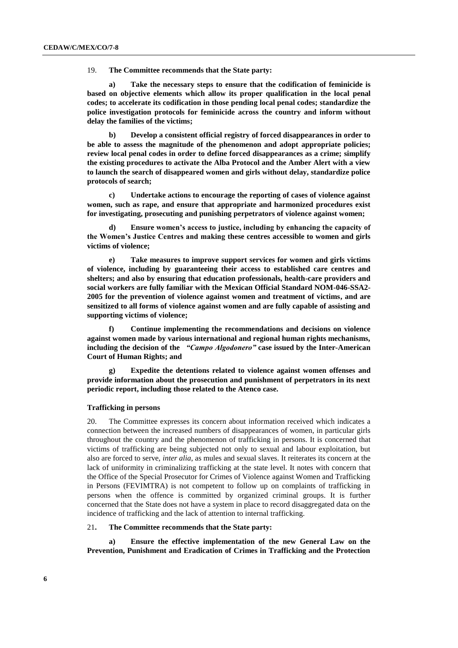19. **The Committee recommends that the State party:** 

**a) Take the necessary steps to ensure that the codification of feminicide is based on objective elements which allow its proper qualification in the local penal codes; to accelerate its codification in those pending local penal codes; standardize the police investigation protocols for feminicide across the country and inform without delay the families of the victims;**

**b) Develop a consistent official registry of forced disappearances in order to be able to assess the magnitude of the phenomenon and adopt appropriate policies; review local penal codes in order to define forced disappearances as a crime; simplify the existing procedures to activate the Alba Protocol and the Amber Alert with a view to launch the search of disappeared women and girls without delay, standardize police protocols of search;** 

**c) Undertake actions to encourage the reporting of cases of violence against women, such as rape, and ensure that appropriate and harmonized procedures exist for investigating, prosecuting and punishing perpetrators of violence against women;**

**d) Ensure women's access to justice, including by enhancing the capacity of the Women's Justice Centres and making these centres accessible to women and girls victims of violence;** 

**e) Take measures to improve support services for women and girls victims of violence, including by guaranteeing their access to established care centres and shelters; and also by ensuring that education professionals, health-care providers and social workers are fully familiar with the Mexican Official Standard NOM-046-SSA2- 2005 for the prevention of violence against women and treatment of victims, and are sensitized to all forms of violence against women and are fully capable of assisting and supporting victims of violence;**

**f) Continue implementing the recommendations and decisions on violence against women made by various international and regional human rights mechanisms, including the decision of the** *"Campo Algodonero"* **case issued by the Inter-American Court of Human Rights; and**

**g) Expedite the detentions related to violence against women offenses and provide information about the prosecution and punishment of perpetrators in its next periodic report, including those related to the Atenco case.** 

### **Trafficking in persons**

20. The Committee expresses its concern about information received which indicates a connection between the increased numbers of disappearances of women, in particular girls throughout the country and the phenomenon of trafficking in persons. It is concerned that victims of trafficking are being subjected not only to sexual and labour exploitation, but also are forced to serve, *inter alia*, as mules and sexual slaves. It reiterates its concern at the lack of uniformity in criminalizing trafficking at the state level. It notes with concern that the Office of the Special Prosecutor for Crimes of Violence against Women and Trafficking in Persons (FEVIMTRA) is not competent to follow up on complaints of trafficking in persons when the offence is committed by organized criminal groups. It is further concerned that the State does not have a system in place to record disaggregated data on the incidence of trafficking and the lack of attention to internal trafficking.

21**. The Committee recommends that the State party:**

**a) Ensure the effective implementation of the new General Law on the Prevention, Punishment and Eradication of Crimes in Trafficking and the Protection**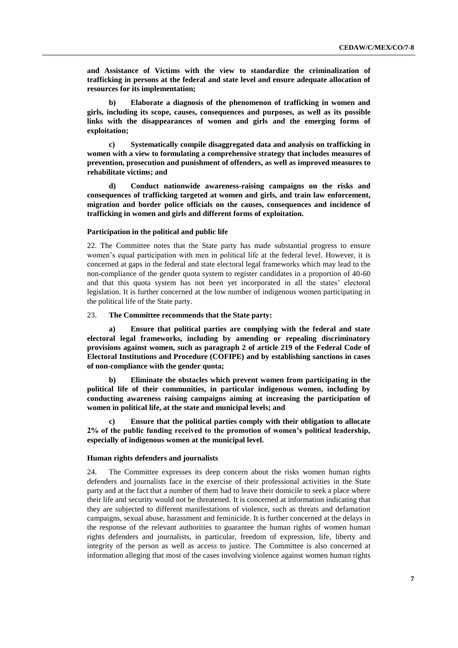**and Assistance of Victims with the view to standardize the criminalization of trafficking in persons at the federal and state level and ensure adequate allocation of resources for its implementation;** 

**b) Elaborate a diagnosis of the phenomenon of trafficking in women and girls, including its scope, causes, consequences and purposes, as well as its possible links with the disappearances of women and girls and the emerging forms of exploitation;** 

**c) Systematically compile disaggregated data and analysis on trafficking in women with a view to formulating a comprehensive strategy that includes measures of prevention, prosecution and punishment of offenders, as well as improved measures to rehabilitate victims; and**

**d) Conduct nationwide awareness-raising campaigns on the risks and consequences of trafficking targeted at women and girls, and train law enforcement, migration and border police officials on the causes, consequences and incidence of trafficking in women and girls and different forms of exploitation.** 

# **Participation in the political and public life**

22. The Committee notes that the State party has made substantial progress to ensure women's equal participation with men in political life at the federal level. However, it is concerned at gaps in the federal and state electoral legal frameworks which may lead to the non-compliance of the gender quota system to register candidates in a proportion of 40-60 and that this quota system has not been yet incorporated in all the states' electoral legislation. It is further concerned at the low number of indigenous women participating in the political life of the State party.

# 23. **The Committee recommends that the State party:**

**a) Ensure that political parties are complying with the federal and state electoral legal frameworks, including by amending or repealing discriminatory provisions against women, such as paragraph 2 of article 219 of the Federal Code of Electoral Institutions and Procedure (COFIPE) and by establishing sanctions in cases of non-compliance with the gender quota;** 

**b) Eliminate the obstacles which prevent women from participating in the political life of their communities, in particular indigenous women, including by conducting awareness raising campaigns aiming at increasing the participation of women in political life, at the state and municipal levels; and**

**c) Ensure that the political parties comply with their obligation to allocate 2% of the public funding received to the promotion of women's political leadership, especially of indigenous women at the municipal level.** 

# **Human rights defenders and journalists**

24. The Committee expresses its deep concern about the risks women human rights defenders and journalists face in the exercise of their professional activities in the State party and at the fact that a number of them had to leave their domicile to seek a place where their life and security would not be threatened. It is concerned at information indicating that they are subjected to different manifestations of violence, such as threats and defamation campaigns, sexual abuse, harassment and feminicide. It is further concerned at the delays in the response of the relevant authorities to guarantee the human rights of women human rights defenders and journalists, in particular, freedom of expression, life, liberty and integrity of the person as well as access to justice. The Committee is also concerned at information alleging that most of the cases involving violence against women human rights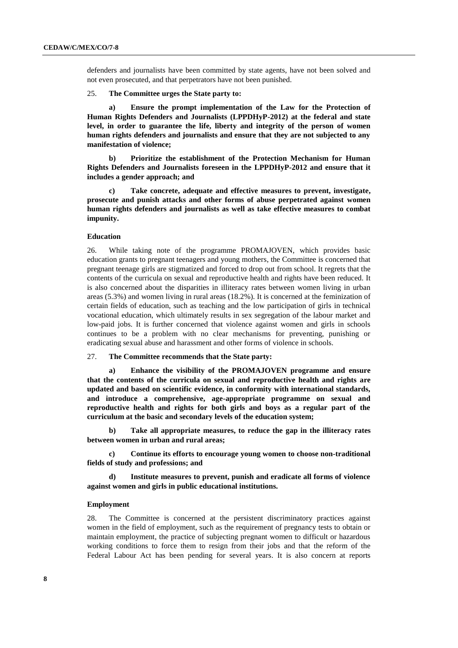defenders and journalists have been committed by state agents, have not been solved and not even prosecuted, and that perpetrators have not been punished.

#### 25. **The Committee urges the State party to:**

**a) Ensure the prompt implementation of the Law for the Protection of Human Rights Defenders and Journalists (LPPDHyP-2012) at the federal and state level, in order to guarantee the life, liberty and integrity of the person of women human rights defenders and journalists and ensure that they are not subjected to any manifestation of violence;** 

**b) Prioritize the establishment of the Protection Mechanism for Human Rights Defenders and Journalists foreseen in the LPPDHyP-2012 and ensure that it includes a gender approach; and**

**c) Take concrete, adequate and effective measures to prevent, investigate, prosecute and punish attacks and other forms of abuse perpetrated against women human rights defenders and journalists as well as take effective measures to combat impunity.** 

## **Education**

26. While taking note of the programme PROMAJOVEN, which provides basic education grants to pregnant teenagers and young mothers, the Committee is concerned that pregnant teenage girls are stigmatized and forced to drop out from school. It regrets that the contents of the curricula on sexual and reproductive health and rights have been reduced. It is also concerned about the disparities in illiteracy rates between women living in urban areas (5.3%) and women living in rural areas (18.2%). It is concerned at the feminization of certain fields of education, such as teaching and the low participation of girls in technical vocational education, which ultimately results in sex segregation of the labour market and low-paid jobs. It is further concerned that violence against women and girls in schools continues to be a problem with no clear mechanisms for preventing, punishing or eradicating sexual abuse and harassment and other forms of violence in schools.

### 27. **The Committee recommends that the State party:**

**a) Enhance the visibility of the PROMAJOVEN programme and ensure that the contents of the curricula on sexual and reproductive health and rights are updated and based on scientific evidence, in conformity with international standards, and introduce a comprehensive, age-appropriate programme on sexual and reproductive health and rights for both girls and boys as a regular part of the curriculum at the basic and secondary levels of the education system;** 

**b) Take all appropriate measures, to reduce the gap in the illiteracy rates between women in urban and rural areas;** 

**c) Continue its efforts to encourage young women to choose non-traditional fields of study and professions; and**

**d) Institute measures to prevent, punish and eradicate all forms of violence against women and girls in public educational institutions.** 

#### **Employment**

28. The Committee is concerned at the persistent discriminatory practices against women in the field of employment, such as the requirement of pregnancy tests to obtain or maintain employment, the practice of subjecting pregnant women to difficult or hazardous working conditions to force them to resign from their jobs and that the reform of the Federal Labour Act has been pending for several years. It is also concern at reports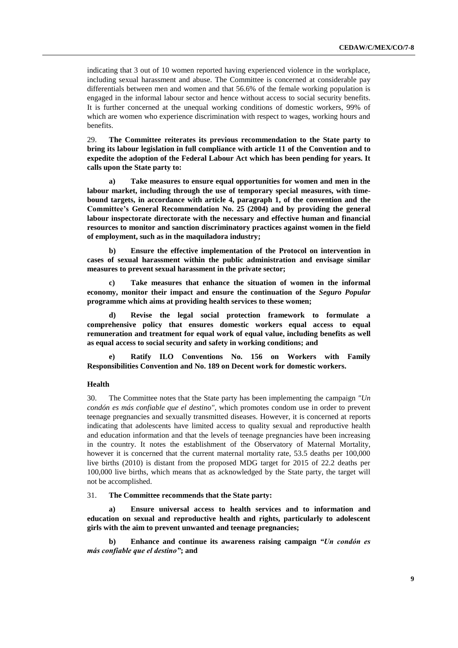indicating that 3 out of 10 women reported having experienced violence in the workplace, including sexual harassment and abuse. The Committee is concerned at considerable pay differentials between men and women and that 56.6% of the female working population is engaged in the informal labour sector and hence without access to social security benefits. It is further concerned at the unequal working conditions of domestic workers, 99% of which are women who experience discrimination with respect to wages, working hours and benefits.

29. **The Committee reiterates its previous recommendation to the State party to bring its labour legislation in full compliance with article 11 of the Convention and to expedite the adoption of the Federal Labour Act which has been pending for years. It calls upon the State party to:**

**a) Take measures to ensure equal opportunities for women and men in the labour market, including through the use of temporary special measures, with timebound targets, in accordance with article 4, paragraph 1, of the convention and the Committee's General Recommendation No. 25 (2004) and by providing the general labour inspectorate directorate with the necessary and effective human and financial resources to monitor and sanction discriminatory practices against women in the field of employment, such as in the maquiladora industry;** 

**b) Ensure the effective implementation of the Protocol on intervention in cases of sexual harassment within the public administration and envisage similar measures to prevent sexual harassment in the private sector;** 

**c) Take measures that enhance the situation of women in the informal economy, monitor their impact and ensure the continuation of the** *Seguro Popular*  **programme which aims at providing health services to these women;**

**d) Revise the legal social protection framework to formulate a comprehensive policy that ensures domestic workers equal access to equal remuneration and treatment for equal work of equal value, including benefits as well as equal access to social security and safety in working conditions; and**

**e) Ratify ILO Conventions No. 156 on Workers with Family Responsibilities Convention and No. 189 on Decent work for domestic workers.** 

# **Health**

30. The Committee notes that the State party has been implementing the campaign *"Un condón es más confiable que el destino"*, which promotes condom use in order to prevent teenage pregnancies and sexually transmitted diseases. However, it is concerned at reports indicating that adolescents have limited access to quality sexual and reproductive health and education information and that the levels of teenage pregnancies have been increasing in the country. It notes the establishment of the Observatory of Maternal Mortality, however it is concerned that the current maternal mortality rate, 53.5 deaths per 100,000 live births (2010) is distant from the proposed MDG target for 2015 of 22.2 deaths per 100,000 live births, which means that as acknowledged by the State party, the target will not be accomplished.

# 31. **The Committee recommends that the State party:**

**a) Ensure universal access to health services and to information and education on sexual and reproductive health and rights, particularly to adolescent girls with the aim to prevent unwanted and teenage pregnancies;**

**b) Enhance and continue its awareness raising campaign** *"Un condón es más confiable que el destino"***; and**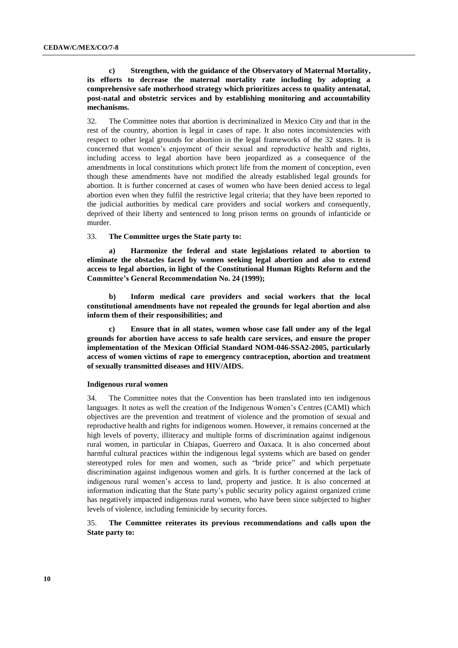**c) Strengthen, with the guidance of the Observatory of Maternal Mortality, its efforts to decrease the maternal mortality rate including by adopting a comprehensive safe motherhood strategy which prioritizes access to quality antenatal, post-natal and obstetric services and by establishing monitoring and accountability mechanisms.**

32. The Committee notes that abortion is decriminalized in Mexico City and that in the rest of the country, abortion is legal in cases of rape. It also notes inconsistencies with respect to other legal grounds for abortion in the legal frameworks of the 32 states. It is concerned that women's enjoyment of their sexual and reproductive health and rights, including access to legal abortion have been jeopardized as a consequence of the amendments in local constitutions which protect life from the moment of conception, even though these amendments have not modified the already established legal grounds for abortion. It is further concerned at cases of women who have been denied access to legal abortion even when they fulfil the restrictive legal criteria; that they have been reported to the judicial authorities by medical care providers and social workers and consequently, deprived of their liberty and sentenced to long prison terms on grounds of infanticide or murder.

# 33. **The Committee urges the State party to:**

**a) Harmonize the federal and state legislations related to abortion to eliminate the obstacles faced by women seeking legal abortion and also to extend access to legal abortion, in light of the Constitutional Human Rights Reform and the Committee's General Recommendation No. 24 (1999);**

**b) Inform medical care providers and social workers that the local constitutional amendments have not repealed the grounds for legal abortion and also inform them of their responsibilities; and**

**c) Ensure that in all states, women whose case fall under any of the legal grounds for abortion have access to safe health care services, and ensure the proper implementation of the Mexican Official Standard NOM-046-SSA2-2005, particularly access of women victims of rape to emergency contraception, abortion and treatment of sexually transmitted diseases and HIV/AIDS.**

## **Indigenous rural women**

34. The Committee notes that the Convention has been translated into ten indigenous languages. It notes as well the creation of the Indigenous Women's Centres (CAMI) which objectives are the prevention and treatment of violence and the promotion of sexual and reproductive health and rights for indigenous women. However, it remains concerned at the high levels of poverty, illiteracy and multiple forms of discrimination against indigenous rural women, in particular in Chiapas, Guerrero and Oaxaca. It is also concerned about harmful cultural practices within the indigenous legal systems which are based on gender stereotyped roles for men and women, such as "bride price" and which perpetuate discrimination against indigenous women and girls. It is further concerned at the lack of indigenous rural women's access to land, property and justice. It is also concerned at information indicating that the State party's public security policy against organized crime has negatively impacted indigenous rural women, who have been since subjected to higher levels of violence, including feminicide by security forces.

# 35. **The Committee reiterates its previous recommendations and calls upon the State party to:**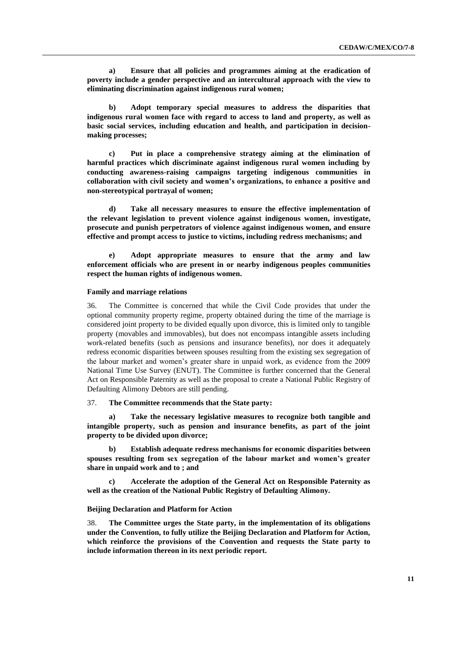**a) Ensure that all policies and programmes aiming at the eradication of poverty include a gender perspective and an intercultural approach with the view to eliminating discrimination against indigenous rural women;** 

**b) Adopt temporary special measures to address the disparities that indigenous rural women face with regard to access to land and property, as well as basic social services, including education and health, and participation in decisionmaking processes;** 

**c) Put in place a comprehensive strategy aiming at the elimination of harmful practices which discriminate against indigenous rural women including by conducting awareness-raising campaigns targeting indigenous communities in collaboration with civil society and women's organizations, to enhance a positive and non-stereotypical portrayal of women;** 

**d) Take all necessary measures to ensure the effective implementation of the relevant legislation to prevent violence against indigenous women, investigate, prosecute and punish perpetrators of violence against indigenous women, and ensure effective and prompt access to justice to victims, including redress mechanisms; and**

**e) Adopt appropriate measures to ensure that the army and law enforcement officials who are present in or nearby indigenous peoples communities respect the human rights of indigenous women.**

## **Family and marriage relations**

36. The Committee is concerned that while the Civil Code provides that under the optional community property regime, property obtained during the time of the marriage is considered joint property to be divided equally upon divorce, this is limited only to tangible property (movables and immovables), but does not encompass intangible assets including work-related benefits (such as pensions and insurance benefits), nor does it adequately redress economic disparities between spouses resulting from the existing sex segregation of the labour market and women's greater share in unpaid work, as evidence from the 2009 National Time Use Survey (ENUT). The Committee is further concerned that the General Act on Responsible Paternity as well as the proposal to create a National Public Registry of Defaulting Alimony Debtors are still pending.

### 37. **The Committee recommends that the State party:**

**a) Take the necessary legislative measures to recognize both tangible and intangible property, such as pension and insurance benefits, as part of the joint property to be divided upon divorce;**

**b) Establish adequate redress mechanisms for economic disparities between spouses resulting from sex segregation of the labour market and women's greater share in unpaid work and to ; and** 

**c) Accelerate the adoption of the General Act on Responsible Paternity as well as the creation of the National Public Registry of Defaulting Alimony.**

#### **Beijing Declaration and Platform for Action**

38. **The Committee urges the State party, in the implementation of its obligations under the Convention, to fully utilize the Beijing Declaration and Platform for Action, which reinforce the provisions of the Convention and requests the State party to include information thereon in its next periodic report.**